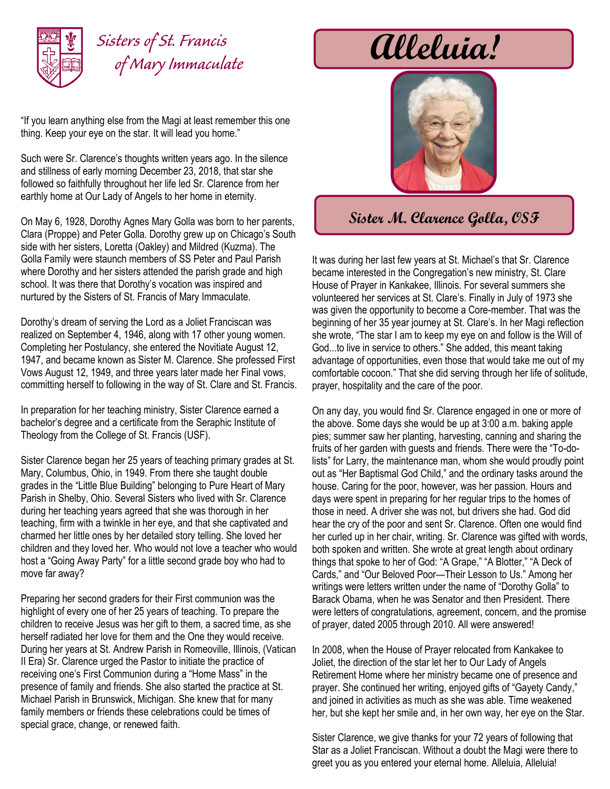

## *Sisters of St. Francis of Mary Immaculate*

"If you learn anything else from the Magi at least remember this one thing. Keep your eye on the star. It will lead you home."

Such were Sr. Clarence's thoughts written years ago. In the silence and stillness of early morning December 23, 2018, that star she followed so faithfully throughout her life led Sr. Clarence from her earthly home at Our Lady of Angels to her home in eternity.

On May 6, 1928, Dorothy Agnes Mary Golla was born to her parents, Clara (Proppe) and Peter Golla. Dorothy grew up on Chicago's South side with her sisters, Loretta (Oakley) and Mildred (Kuzma). The Golla Family were staunch members of SS Peter and Paul Parish where Dorothy and her sisters attended the parish grade and high school. It was there that Dorothy's vocation was inspired and nurtured by the Sisters of St. Francis of Mary Immaculate.

Dorothy's dream of serving the Lord as a Joliet Franciscan was realized on September 4, 1946, along with 17 other young women. Completing her Postulancy, she entered the Novitiate August 12, 1947, and became known as Sister M. Clarence. She professed First Vows August 12, 1949, and three years later made her Final vows, committing herself to following in the way of St. Clare and St. Francis.

In preparation for her teaching ministry, Sister Clarence earned a bachelor's degree and a certificate from the Seraphic Institute of Theology from the College of St. Francis (USF).

Sister Clarence began her 25 years of teaching primary grades at St. Mary, Columbus, Ohio, in 1949. From there she taught double grades in the "Little Blue Building" belonging to Pure Heart of Mary Parish in Shelby, Ohio. Several Sisters who lived with Sr. Clarence during her teaching years agreed that she was thorough in her teaching, firm with a twinkle in her eye, and that she captivated and charmed her little ones by her detailed story telling. She loved her children and they loved her. Who would not love a teacher who would host a "Going Away Party" for a little second grade boy who had to move far away?

Preparing her second graders for their First communion was the highlight of every one of her 25 years of teaching. To prepare the children to receive Jesus was her gift to them, a sacred time, as she herself radiated her love for them and the One they would receive. During her years at St. Andrew Parish in Romeoville, Illinois, (Vatican II Era) Sr. Clarence urged the Pastor to initiate the practice of receiving one's First Communion during a "Home Mass" in the presence of family and friends. She also started the practice at St. Michael Parish in Brunswick, Michigan. She knew that for many family members or friends these celebrations could be times of special grace, change, or renewed faith.

**Alleluia!**



## **Sister M. Clarence Golla, OSF**

It was during her last few years at St. Michael's that Sr. Clarence became interested in the Congregation's new ministry, St. Clare House of Prayer in Kankakee, Illinois. For several summers she volunteered her services at St. Clare's. Finally in July of 1973 she was given the opportunity to become a Core-member. That was the beginning of her 35 year journey at St. Clare's. In her Magi reflection she wrote, "The star I am to keep my eye on and follow is the Will of God...to live in service to others." She added, this meant taking advantage of opportunities, even those that would take me out of my comfortable cocoon." That she did serving through her life of solitude, prayer, hospitality and the care of the poor.

On any day, you would find Sr. Clarence engaged in one or more of the above. Some days she would be up at 3:00 a.m. baking apple pies; summer saw her planting, harvesting, canning and sharing the fruits of her garden with guests and friends. There were the "To-dolists" for Larry, the maintenance man, whom she would proudly point out as "Her Baptismal God Child," and the ordinary tasks around the house. Caring for the poor, however, was her passion. Hours and days were spent in preparing for her regular trips to the homes of those in need. A driver she was not, but drivers she had. God did hear the cry of the poor and sent Sr. Clarence. Often one would find her curled up in her chair, writing. Sr. Clarence was gifted with words, both spoken and written. She wrote at great length about ordinary things that spoke to her of God: "A Grape," "A Blotter," "A Deck of Cards," and "Our Beloved Poor—Their Lesson to Us." Among her writings were letters written under the name of "Dorothy Golla" to Barack Obama, when he was Senator and then President. There were letters of congratulations, agreement, concern, and the promise of prayer, dated 2005 through 2010. All were answered!

In 2008, when the House of Prayer relocated from Kankakee to Joliet, the direction of the star let her to Our Lady of Angels Retirement Home where her ministry became one of presence and prayer. She continued her writing, enjoyed gifts of "Gayety Candy," and joined in activities as much as she was able. Time weakened her, but she kept her smile and, in her own way, her eye on the Star.

Sister Clarence, we give thanks for your 72 years of following that Star as a Joliet Franciscan. Without a doubt the Magi were there to greet you as you entered your eternal home. Alleluia, Alleluia!